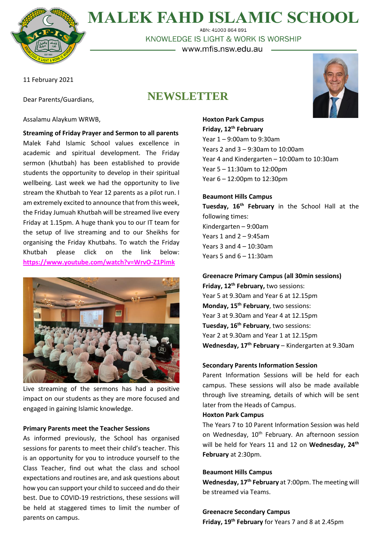

**MALEK FAHD ISLAMIC SCHOOL** ABN: 41003 864 891

KNOWLEDGE IS LIGHT & WORK IS WORSHIP

– www.mfis.nsw.edu.au –

11 February 2021

Dear Parents/Guardians,

## **NEWSLETTER**



Assalamu Alaykum WRWB,

**Streaming of Friday Prayer and Sermon to all parents** Malek Fahd Islamic School values excellence in academic and spiritual development. The Friday sermon (khutbah) has been established to provide students the opportunity to develop in their spiritual wellbeing. Last week we had the opportunity to live stream the Khutbah to Year 12 parents as a pilot run. I am extremely excited to announce that from this week, the Friday Jumuah Khutbah will be streamed live every Friday at 1.15pm. A huge thank you to our IT team for the setup of live streaming and to our Sheikhs for organising the Friday Khutbahs. To watch the Friday Khutbah please click on the link below: **<https://www.youtube.com/watch?v=WrvO-Z1Pimk>**



Live streaming of the sermons has had a positive impact on our students as they are more focused and engaged in gaining Islamic knowledge.

#### **Primary Parents meet the Teacher Sessions**

As informed previously, the School has organised sessions for parents to meet their child's teacher. This is an opportunity for you to introduce yourself to the Class Teacher, find out what the class and school expectations and routines are, and ask questions about how you can support your child to succeed and do their best. Due to COVID-19 restrictions, these sessions will be held at staggered times to limit the number of parents on campus.

### **Hoxton Park Campus Friday, 12th February**

Year 1 – 9:00am to 9:30am Years 2 and 3 – 9:30am to 10:00am Year 4 and Kindergarten – 10:00am to 10:30am Year 5 – 11:30am to 12:00pm Year 6 – 12:00pm to 12:30pm

#### **Beaumont Hills Campus**

**Tuesday, 16 th February** in the School Hall at the following times: Kindergarten – 9:00am Years 1 and 2 – 9:45am Years 3 and 4 – 10:30am Years 5 and 6 – 11:30am

**Greenacre Primary Campus (all 30min sessions) Friday, 12th February,** two sessions: Year 5 at 9.30am and Year 6 at 12.15pm **Monday, 15th February**, two sessions: Year 3 at 9.30am and Year 4 at 12.15pm **Tuesday, 16th February**, two sessions: Year 2 at 9.30am and Year 1 at 12.15pm **Wednesday, 17th February** – Kindergarten at 9.30am

#### **Secondary Parents Information Session**

Parent Information Sessions will be held for each campus. These sessions will also be made available through live streaming, details of which will be sent later from the Heads of Campus.

#### **Hoxton Park Campus**

The Years 7 to 10 Parent Information Session was held on Wednesday, 10<sup>th</sup> February. An afternoon session will be held for Years 11 and 12 on **Wednesday, 24th February** at 2:30pm.

#### **Beaumont Hills Campus**

**Wednesday, 17th February** at 7:00pm. The meeting will be streamed via Teams.

#### **Greenacre Secondary Campus**

**Friday, 19th February** for Years 7 and 8 at 2.45pm